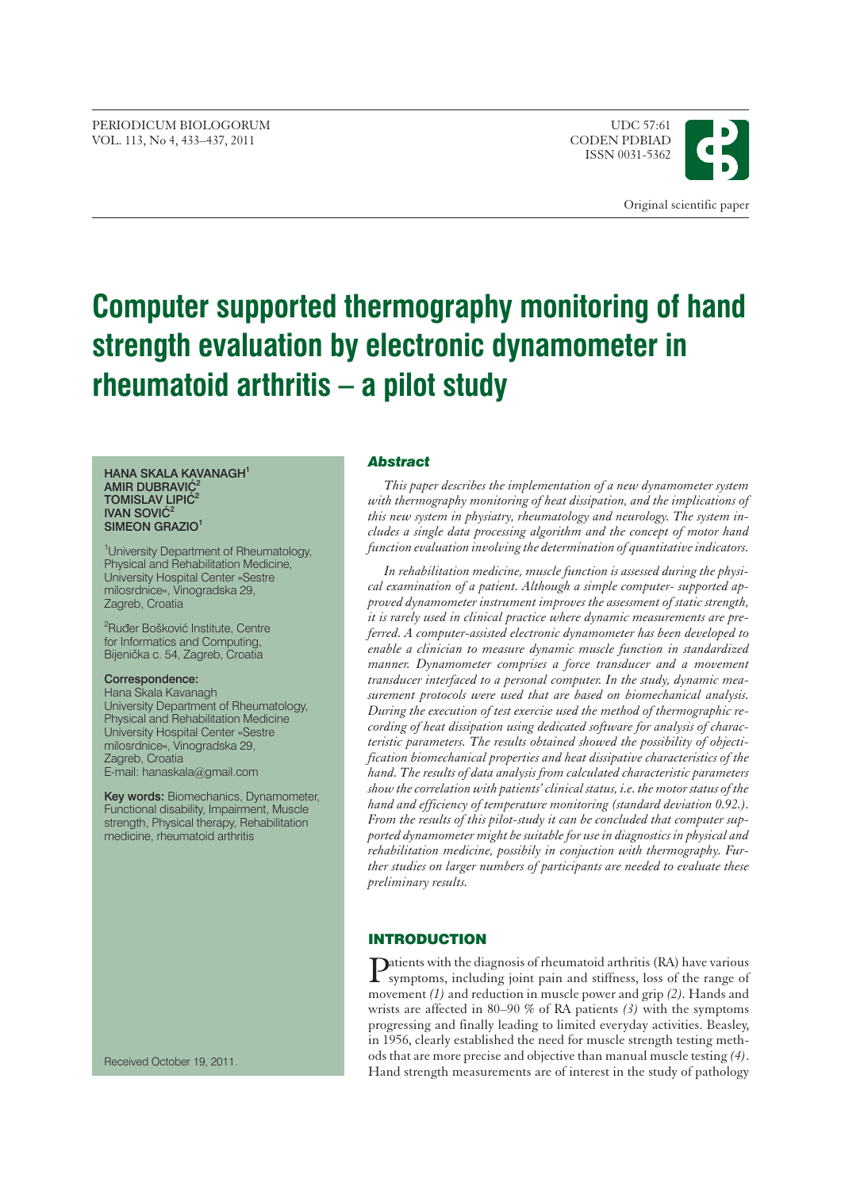PERIODICUM BIOLOGORUM UDC 57:61<br>VOL. 113. No. 4 433–437. 2011 UDC 57:61 VOL. 113, No 4, 433-437, 2011

ISSN 0031-5362



# **Computer supported thermography monitoring of hand strength evaluation by electronic dynamometer in rheumatoid arthritis – a pilot study**

#### **HANA SKALA KAVANAGH1 AMIR DUBRAVIĆ TOMISLAV LIPIĆ<sup>2</sup> IVAN SOVIC<sup>2</sup> SIMEON GRAZIO1**

<sup>1</sup>University Department of Rheumatology, Physical and Rehabilitation Medicine, University Hospital Center »Sestre milosrdnice«, Vinogradska 29, Zagreb, Croatia

<sup>2</sup>Ruđer Bošković Institute, Centre for Informatics and Computing, Bijenička c. 54, Zagreb, Croatia

#### **Correspondence:**

Hana Skala Kavanagh University Department of Rheumatology, Physical and Rehabilitation Medicine University Hospital Center »Sestre milosrdnice«, Vinogradska 29, Zagreb, Croatia E-mail: hanaskala*@*gmail.com

**Key words:** Biomechanics, Dynamometer, Functional disability, Impairment, Muscle strength, Physical therapy, Rehabilitation medicine, rheumatoid arthritis

Received October 19, 2011.

#### *Abstract*

*This paper describes the implementation of a new dynamometer system with thermography monitoring of heat dissipation, and the implications of this new system in physiatry, rheumatology and neurology. The system includes a single data processing algorithm and the concept of motor hand function evaluation involving the determination of quantitative indicators.*

*In rehabilitation medicine, muscle function is assessed during the physical examination of a patient. Although a simple computer- supported approved dynamometer instrument improves the assessment of static strength, it is rarely used in clinical practice where dynamic measurements are preferred. A computer-assisted electronic dynamometer has been developed to enable a clinician to measure dynamic muscle function in standardized manner. Dynamometer comprises a force transducer and a movement transducer interfaced to a personal computer. In the study, dynamic measurement protocols were used that are based on biomechanical analysis. During the execution of test exercise used the method of thermographic recording of heat dissipation using dedicated software for analysis of characteristic parameters. The results obtained showed the possibility of objectification biomechanical properties and heat dissipative characteristics of the hand. The results of data analysis from calculated characteristic parameters show the correlation with patients' clinical status, i.e. the motor status of the hand and efficiency of temperature monitoring (standard deviation 0.92.). From the results of this pilot-study it can be concluded that computer supported dynamometer might be suitable for use in diagnostics in physical and rehabilitation medicine, possibily in conjuction with thermography. Further studies on larger numbers of participants are needed to evaluate these preliminary results.*

# **INTRODUCTION**

Patients with the diagnosis of rheumatoid arthritis (RA) have various<br>symptoms, including joint pain and stiffness, loss of the range of movement *(1)* and reduction in muscle power and grip *(2).* Hands and wrists are affected in 80–90 % of RA patients *(3)* with the symptoms progressing and finally leading to limited everyday activities. Beasley, in 1956, clearly established the need for muscle strength testing methods that are more precise and objective than manual muscle testing *(4)*. Hand strength measurements are of interest in the study of pathology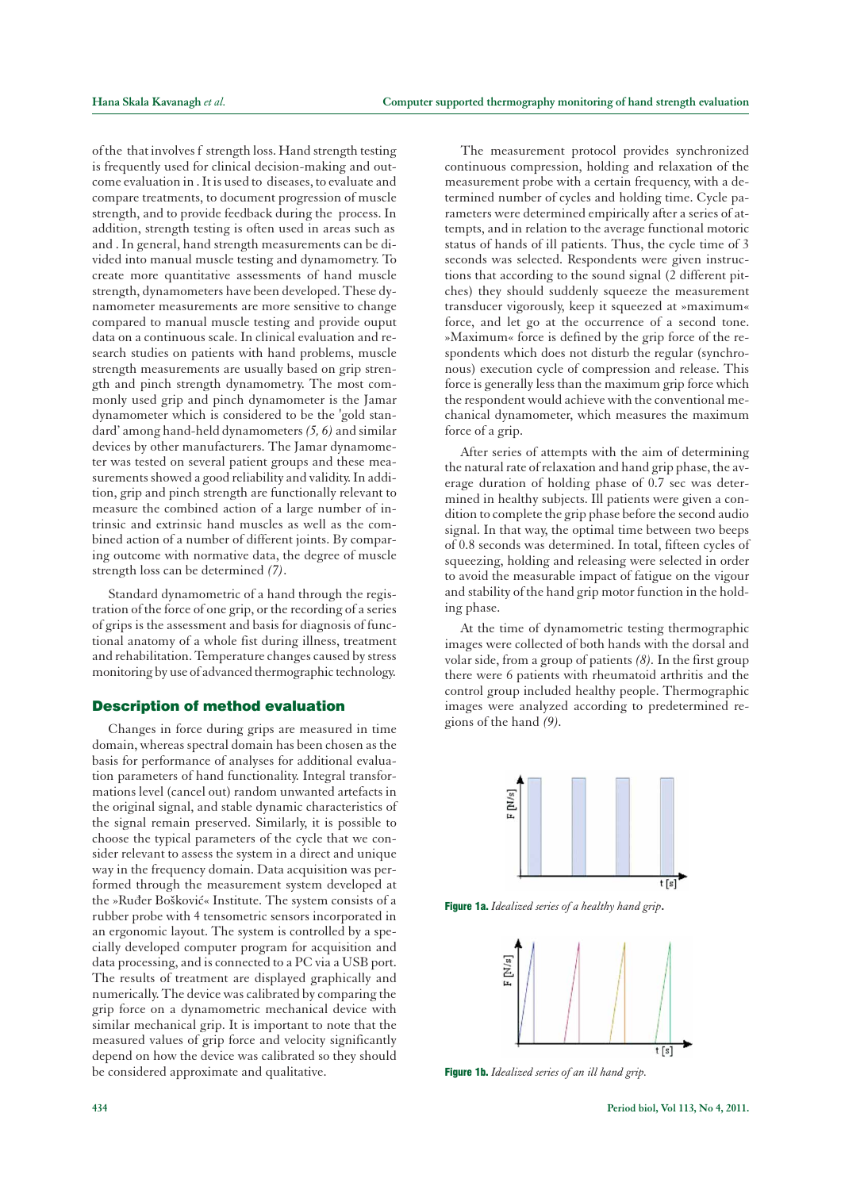of the that involves f strength loss. Hand strength testing is frequently used for clinical decision-making and outcome evaluation in . It is used to diseases, to evaluate and compare treatments, to document progression of muscle strength, and to provide feedback during the process. In addition, strength testing is often used in areas such as and . In general, hand strength measurements can be divided into manual muscle testing and dynamometry. To create more quantitative assessments of hand muscle strength, dynamometers have been developed. These dynamometer measurements are more sensitive to change compared to manual muscle testing and provide ouput data on a continuous scale. In clinical evaluation and research studies on patients with hand problems, muscle strength measurements are usually based on grip strength and pinch strength dynamometry. The most commonly used grip and pinch dynamometer is the Jamar dynamometer which is considered to be the 'gold standard' among hand-held dynamometers*(5, 6)* and similar devices by other manufacturers. The Jamar dynamometer was tested on several patient groups and these measurements showed a good reliability and validity. In addition, grip and pinch strength are functionally relevant to measure the combined action of a large number of intrinsic and extrinsic hand muscles as well as the combined action of a number of different joints. By comparing outcome with normative data, the degree of muscle strength loss can be determined *(7)*.

Standard dynamometric of a hand through the registration of the force of one grip, or the recording of a series of grips is the assessment and basis for diagnosis of functional anatomy of a whole fist during illness, treatment and rehabilitation. Temperature changes caused by stress monitoring by use of advanced thermographic technology.

## **Description of method evaluation**

Changes in force during grips are measured in time domain, whereas spectral domain has been chosen as the basis for performance of analyses for additional evaluation parameters of hand functionality. Integral transformations level (cancel out) random unwanted artefacts in the original signal, and stable dynamic characteristics of the signal remain preserved. Similarly, it is possible to choose the typical parameters of the cycle that we consider relevant to assess the system in a direct and unique way in the frequency domain. Data acquisition was performed through the measurement system developed at the »Ruđer Bošković« Institute. The system consists of a rubber probe with 4 tensometric sensors incorporated in an ergonomic layout. The system is controlled by a specially developed computer program for acquisition and data processing, and is connected to a PC via a USB port. The results of treatment are displayed graphically and numerically. The device was calibrated by comparing the grip force on a dynamometric mechanical device with similar mechanical grip. It is important to note that the measured values of grip force and velocity significantly depend on how the device was calibrated so they should be considered approximate and qualitative.

The measurement protocol provides synchronized continuous compression, holding and relaxation of the measurement probe with a certain frequency, with a determined number of cycles and holding time. Cycle parameters were determined empirically after a series of attempts, and in relation to the average functional motoric status of hands of ill patients. Thus, the cycle time of 3 seconds was selected. Respondents were given instructions that according to the sound signal (2 different pitches) they should suddenly squeeze the measurement transducer vigorously, keep it squeezed at »maximum« force, and let go at the occurrence of a second tone. »Maximum« force is defined by the grip force of the respondents which does not disturb the regular (synchronous) execution cycle of compression and release. This force is generally less than the maximum grip force which the respondent would achieve with the conventional mechanical dynamometer, which measures the maximum force of a grip.

After series of attempts with the aim of determining the natural rate of relaxation and hand grip phase, the average duration of holding phase of 0.7 sec was determined in healthy subjects. Ill patients were given a condition to complete the grip phase before the second audio signal. In that way, the optimal time between two beeps of 0.8 seconds was determined. In total, fifteen cycles of squeezing, holding and releasing were selected in order to avoid the measurable impact of fatigue on the vigour and stability of the hand grip motor function in the holding phase.

At the time of dynamometric testing thermographic images were collected of both hands with the dorsal and volar side, from a group of patients *(8).* In the first group there were 6 patients with rheumatoid arthritis and the control group included healthy people. Thermographic images were analyzed according to predetermined regions of the hand *(9).*



Figure 1a. *Idealized series of a healthy hand grip***.**



Figure 1b. *Idealized series of an ill hand grip.*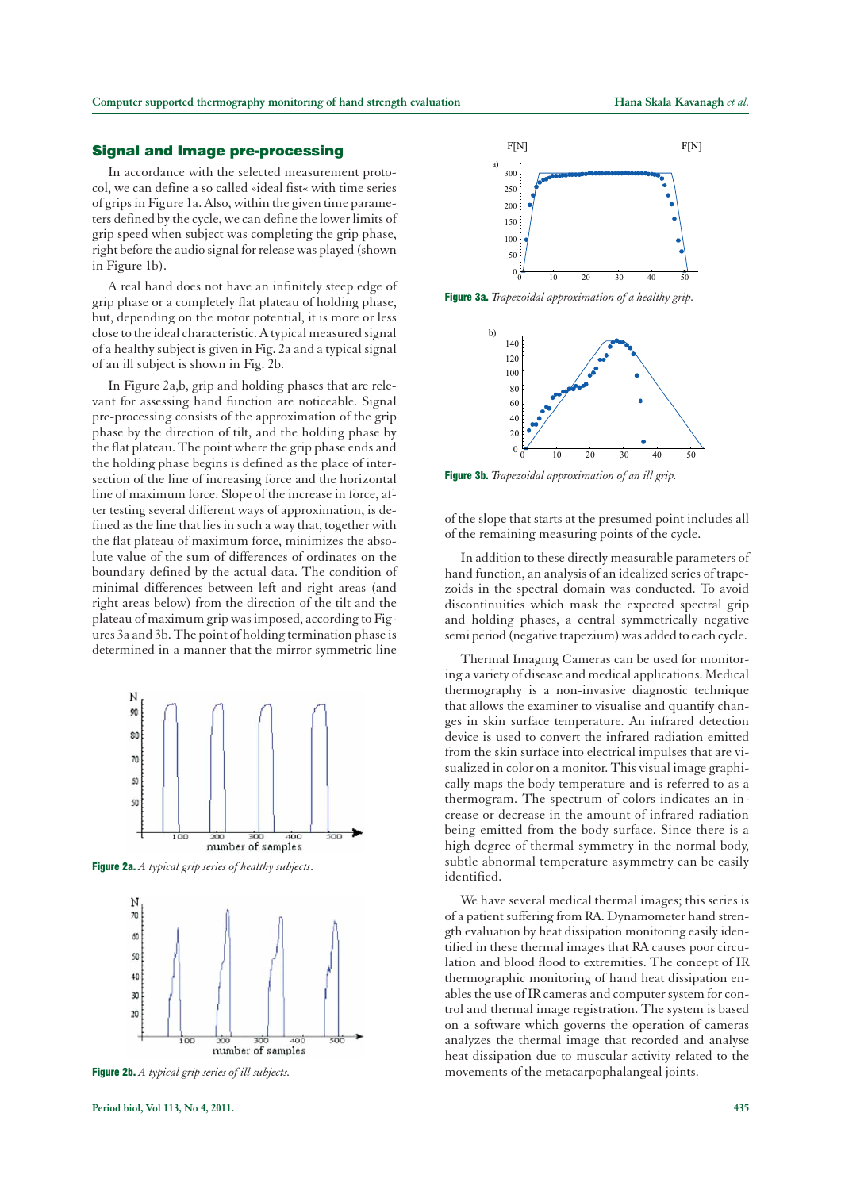## **Signal and Image pre-processing**

In accordance with the selected measurement protocol, we can define a so called »ideal fist« with time series of grips in Figure 1a. Also, within the given time parameters defined by the cycle, we can define the lower limits of grip speed when subject was completing the grip phase, right before the audio signal for release was played (shown in Figure 1b).

A real hand does not have an infinitely steep edge of grip phase or a completely flat plateau of holding phase, but, depending on the motor potential, it is more or less close to the ideal characteristic. A typical measured signal of a healthy subject is given in Fig. 2a and a typical signal of an ill subject is shown in Fig. 2b.

In Figure 2a,b, grip and holding phases that are relevant for assessing hand function are noticeable. Signal pre-processing consists of the approximation of the grip phase by the direction of tilt, and the holding phase by the flat plateau. The point where the grip phase ends and the holding phase begins is defined as the place of intersection of the line of increasing force and the horizontal line of maximum force. Slope of the increase in force, after testing several different ways of approximation, is defined as the line that lies in such a way that, together with the flat plateau of maximum force, minimizes the absolute value of the sum of differences of ordinates on the boundary defined by the actual data. The condition of minimal differences between left and right areas (and right areas below) from the direction of the tilt and the plateau of maximum grip was imposed, according to Figures 3a and 3b. The point of holding termination phase is determined in a manner that the mirror symmetric line



Figure 2a. *A typical grip series of healthy subjects*.



Figure 2b. *A typical grip series of ill subjects.*



Figure 3a. *Trapezoidal approximation of a healthy grip.*



Figure 3b. *Trapezoidal approximation of an ill grip.*

of the slope that starts at the presumed point includes all of the remaining measuring points of the cycle.

In addition to these directly measurable parameters of hand function, an analysis of an idealized series of trapezoids in the spectral domain was conducted. To avoid discontinuities which mask the expected spectral grip and holding phases, a central symmetrically negative semi period (negative trapezium) was added to each cycle.

Thermal Imaging Cameras can be used for monitoring a variety of disease and medical applications. Medical thermography is a non-invasive diagnostic technique that allows the examiner to visualise and quantify changes in skin surface temperature. An infrared detection device is used to convert the infrared radiation emitted from the skin surface into electrical impulses that are visualized in color on a monitor. This visual image graphically maps the body temperature and is referred to as a thermogram. The spectrum of colors indicates an increase or decrease in the amount of infrared radiation being emitted from the body surface. Since there is a high degree of thermal symmetry in the normal body, subtle abnormal temperature asymmetry can be easily identified.

We have several medical thermal images; this series is of a patient suffering from RA. Dynamometer hand strength evaluation by heat dissipation monitoring easily identified in these thermal images that RA causes poor circulation and blood flood to extremities. The concept of IR thermographic monitoring of hand heat dissipation enables the use of IR cameras and computer system for control and thermal image registration. The system is based on a software which governs the operation of cameras analyzes the thermal image that recorded and analyse heat dissipation due to muscular activity related to the movements of the metacarpophalangeal joints.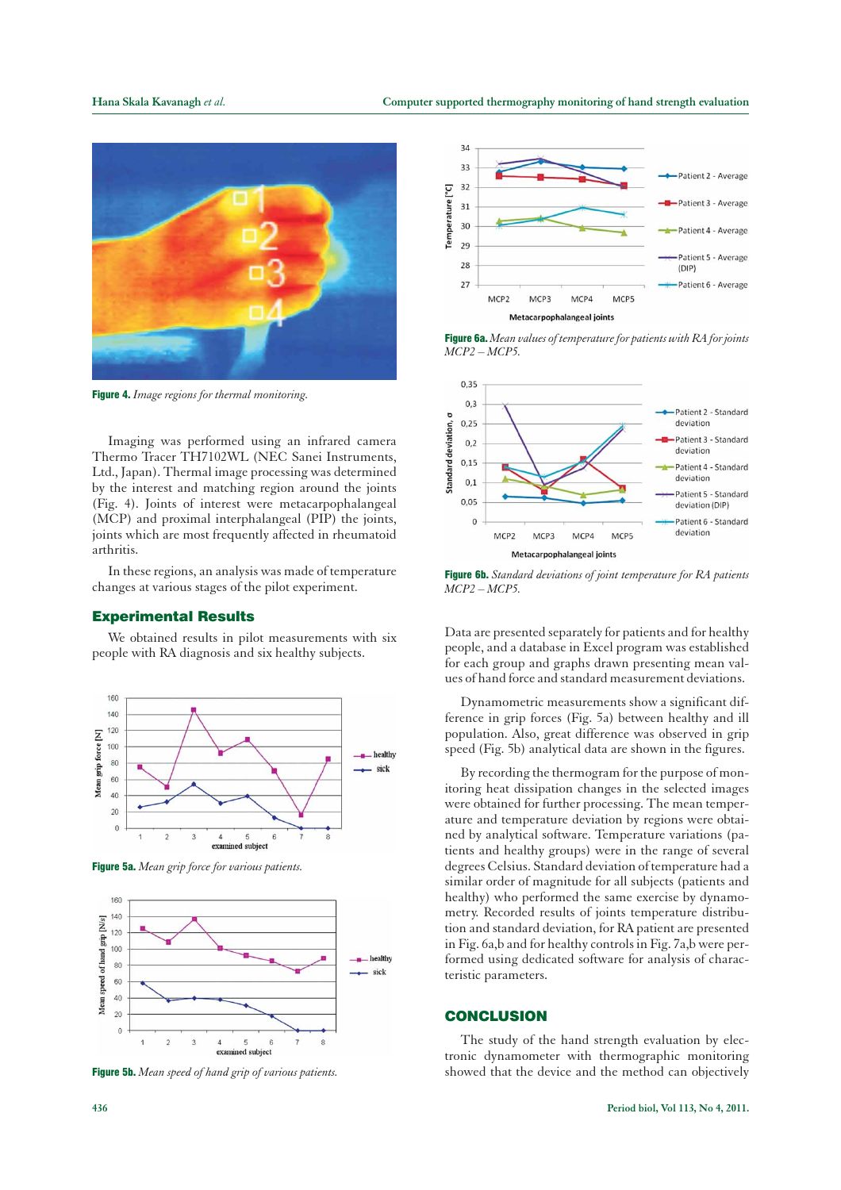

Figure 4. *Image regions for thermal monitoring.*

Imaging was performed using an infrared camera Thermo Tracer TH7102WL (NEC Sanei Instruments, Ltd., Japan). Thermal image processing was determined by the interest and matching region around the joints (Fig. 4). Joints of interest were metacarpophalangeal (MCP) and proximal interphalangeal (PIP) the joints, joints which are most frequently affected in rheumatoid arthritis.

In these regions, an analysis was made of temperature changes at various stages of the pilot experiment.

### **Experimental Results**

We obtained results in pilot measurements with six people with RA diagnosis and six healthy subjects.



Figure 5a. *Mean grip force for various patients.*



Figure 5b. *Mean speed of hand grip of various patients.*



Figure 6a. *Mean values of temperature for patients with RA for joints MCP2 – MCP5.*



Figure 6b. *Standard deviations of joint temperature for RA patients MCP2 – MCP5.*

Data are presented separately for patients and for healthy people, and a database in Excel program was established for each group and graphs drawn presenting mean values of hand force and standard measurement deviations.

Dynamometric measurements show a significant difference in grip forces (Fig. 5a) between healthy and ill population. Also, great difference was observed in grip speed (Fig. 5b) analytical data are shown in the figures.

By recording the thermogram for the purpose of monitoring heat dissipation changes in the selected images were obtained for further processing. The mean temperature and temperature deviation by regions were obtained by analytical software. Temperature variations (patients and healthy groups) were in the range of several degrees Celsius. Standard deviation of temperature had a similar order of magnitude for all subjects (patients and healthy) who performed the same exercise by dynamometry. Recorded results of joints temperature distribution and standard deviation, for RA patient are presented in Fig. 6a,b and for healthy controls in Fig. 7a,b were performed using dedicated software for analysis of characteristic parameters.

# **CONCLUSION**

The study of the hand strength evaluation by electronic dynamometer with thermographic monitoring showed that the device and the method can objectively